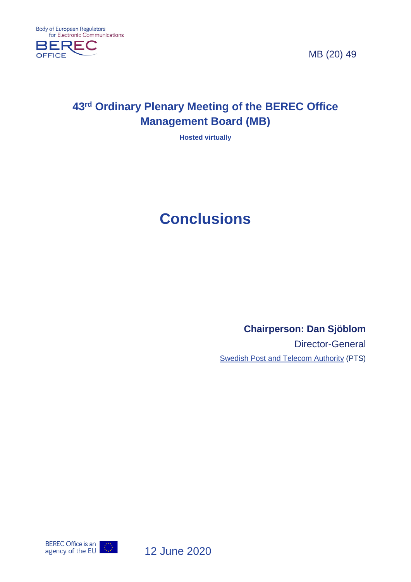

MB (20) 49

## **43rd Ordinary Plenary Meeting of the BEREC Office Management Board (MB)**

**Hosted virtually**

# **Conclusions**

**Chairperson: Dan Sjöblom**

Director-General Swedish Post and Telecom Authority (PTS)



12 June 2020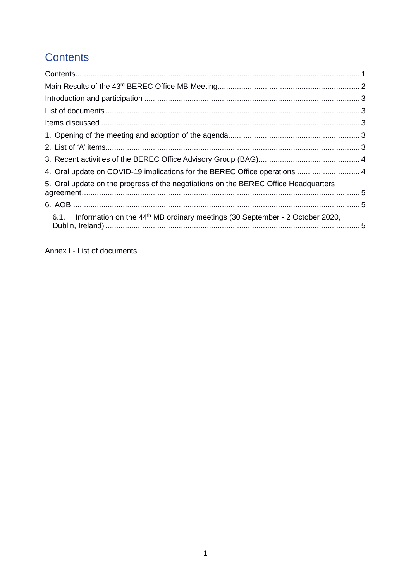# <span id="page-1-0"></span>**Contents**

| 4. Oral update on COVID-19 implications for the BEREC Office operations  4                    |  |
|-----------------------------------------------------------------------------------------------|--|
| 5. Oral update on the progress of the negotiations on the BEREC Office Headquarters           |  |
|                                                                                               |  |
| 6.1. Information on the 44 <sup>th</sup> MB ordinary meetings (30 September - 2 October 2020, |  |

Annex I - List of documents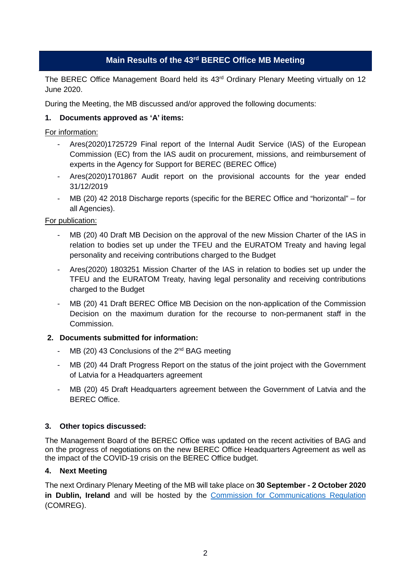#### **Main Results of the 43rd BEREC Office MB Meeting**

<span id="page-2-0"></span>The BEREC Office Management Board held its 43<sup>rd</sup> Ordinary Plenary Meeting virtually on 12 June 2020.

During the Meeting, the MB discussed and/or approved the following documents:

#### **1. Documents approved as 'A' items:**

For information:

- Ares(2020)1725729 Final report of the Internal Audit Service (IAS) of the European Commission (EC) from the IAS audit on procurement, missions, and reimbursement of experts in the Agency for Support for BEREC (BEREC Office)
- Ares(2020)1701867 Audit report on the provisional accounts for the year ended 31/12/2019
- MB (20) 42 2018 Discharge reports (specific for the BEREC Office and "horizontal" for all Agencies).

#### For publication:

- MB (20) 40 Draft MB Decision on the approval of the new Mission Charter of the IAS in relation to bodies set up under the TFEU and the EURATOM Treaty and having legal personality and receiving contributions charged to the Budget
- Ares(2020) 1803251 Mission Charter of the IAS in relation to bodies set up under the TFEU and the EURATOM Treaty, having legal personality and receiving contributions charged to the Budget
- MB (20) 41 Draft BEREC Office MB Decision on the non-application of the Commission Decision on the maximum duration for the recourse to non-permanent staff in the Commission.

#### **2. Documents submitted for information:**

- $MB$  (20) 43 Conclusions of the  $2<sup>nd</sup>$  BAG meeting
- MB (20) 44 Draft Progress Report on the status of the joint project with the Government of Latvia for a Headquarters agreement
- MB (20) 45 Draft Headquarters agreement between the Government of Latvia and the BEREC Office.

#### **3. Other topics discussed:**

The Management Board of the BEREC Office was updated on the recent activities of BAG and on the progress of negotiations on the new BEREC Office Headquarters Agreement as well as the impact of the COVID-19 crisis on the BEREC Office budget.

#### **4. Next Meeting**

The next Ordinary Plenary Meeting of the MB will take place on **30 September - 2 October 2020 in Dublin, Ireland** and will be hosted by the [Commission for Communications Regulation](http://www.odtr.ie/) (COMREG).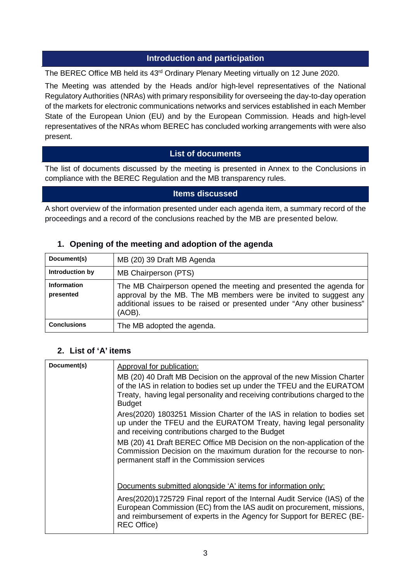#### **Introduction and participation**

<span id="page-3-0"></span>The BEREC Office MB held its 43rd Ordinary Plenary Meeting virtually on 12 June 2020.

The Meeting was attended by the Heads and/or high-level representatives of the National Regulatory Authorities (NRAs) with primary responsibility for overseeing the day-to-day operation of the markets for electronic communications networks and services established in each Member State of the European Union (EU) and by the European Commission. Heads and high-level representatives of the NRAs whom BEREC has concluded working arrangements with were also present.

#### **List of documents**

<span id="page-3-1"></span>The list of documents discussed by the meeting is presented in Annex to the Conclusions in compliance with the BEREC Regulation and the MB transparency rules.

#### **Items discussed**

<span id="page-3-2"></span>A short overview of the information presented under each agenda item, a summary record of the proceedings and a record of the conclusions reached by the MB are presented below.

#### <span id="page-3-3"></span>**1. Opening of the meeting and adoption of the agenda**

| Document(s)                     | MB (20) 39 Draft MB Agenda                                                                                                                                                                                                     |
|---------------------------------|--------------------------------------------------------------------------------------------------------------------------------------------------------------------------------------------------------------------------------|
| Introduction by                 | MB Chairperson (PTS)                                                                                                                                                                                                           |
| <b>Information</b><br>presented | The MB Chairperson opened the meeting and presented the agenda for<br>approval by the MB. The MB members were be invited to suggest any<br>additional issues to be raised or presented under "Any other business"<br>$(AOB)$ . |
| <b>Conclusions</b>              | The MB adopted the agenda.                                                                                                                                                                                                     |

#### <span id="page-3-4"></span>**2. List of 'A' items**

| Document(s) | Approval for publication:                                                                                                                                                                                                                         |
|-------------|---------------------------------------------------------------------------------------------------------------------------------------------------------------------------------------------------------------------------------------------------|
|             | MB (20) 40 Draft MB Decision on the approval of the new Mission Charter<br>of the IAS in relation to bodies set up under the TFEU and the EURATOM<br>Treaty, having legal personality and receiving contributions charged to the<br><b>Budget</b> |
|             | Ares(2020) 1803251 Mission Charter of the IAS in relation to bodies set<br>up under the TFEU and the EURATOM Treaty, having legal personality<br>and receiving contributions charged to the Budget                                                |
|             | MB (20) 41 Draft BEREC Office MB Decision on the non-application of the<br>Commission Decision on the maximum duration for the recourse to non-<br>permanent staff in the Commission services                                                     |
|             | Documents submitted alongside 'A' items for information only:                                                                                                                                                                                     |
|             | Ares(2020)1725729 Final report of the Internal Audit Service (IAS) of the<br>European Commission (EC) from the IAS audit on procurement, missions,<br>and reimbursement of experts in the Agency for Support for BEREC (BE-<br><b>REC Office)</b> |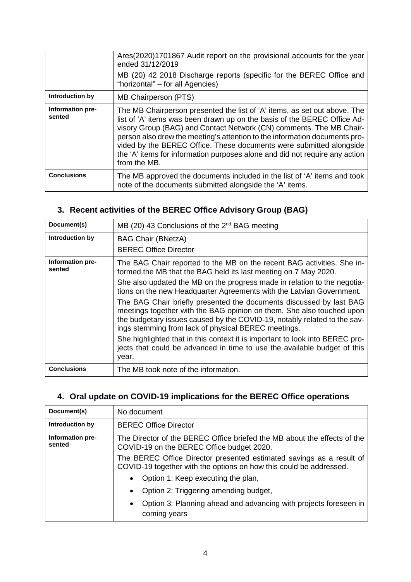|                            | Ares(2020)1701867 Audit report on the provisional accounts for the year<br>ended 31/12/2019                                                                                                                                                                                                                                                                                                                                                                                      |
|----------------------------|----------------------------------------------------------------------------------------------------------------------------------------------------------------------------------------------------------------------------------------------------------------------------------------------------------------------------------------------------------------------------------------------------------------------------------------------------------------------------------|
|                            | MB (20) 42 2018 Discharge reports (specific for the BEREC Office and<br>"horizontal" – for all Agencies)                                                                                                                                                                                                                                                                                                                                                                         |
| Introduction by            | MB Chairperson (PTS)                                                                                                                                                                                                                                                                                                                                                                                                                                                             |
| Information pre-<br>sented | The MB Chairperson presented the list of 'A' items, as set out above. The<br>list of 'A' items was been drawn up on the basis of the BEREC Office Ad-<br>visory Group (BAG) and Contact Network (CN) comments. The MB Chair-<br>person also drew the meeting's attention to the information documents pro-<br>vided by the BEREC Office. These documents were submitted alongside<br>the 'A' items for information purposes alone and did not require any action<br>from the MB. |
| <b>Conclusions</b>         | The MB approved the documents included in the list of 'A' items and took<br>note of the documents submitted alongside the 'A' items.                                                                                                                                                                                                                                                                                                                                             |

## <span id="page-4-0"></span>**3. Recent activities of the BEREC Office Advisory Group (BAG)**

| Document(s)                | MB (20) 43 Conclusions of the 2 <sup>nd</sup> BAG meeting                                                                                                                                                                                                                       |
|----------------------------|---------------------------------------------------------------------------------------------------------------------------------------------------------------------------------------------------------------------------------------------------------------------------------|
| Introduction by            | <b>BAG Chair (BNetzA)</b>                                                                                                                                                                                                                                                       |
|                            | <b>BEREC Office Director</b>                                                                                                                                                                                                                                                    |
| Information pre-<br>sented | The BAG Chair reported to the MB on the recent BAG activities. She in-<br>formed the MB that the BAG held its last meeting on 7 May 2020.                                                                                                                                       |
|                            | She also updated the MB on the progress made in relation to the negotia-<br>tions on the new Headquarter Agreements with the Latvian Government.                                                                                                                                |
|                            | The BAG Chair briefly presented the documents discussed by last BAG<br>meetings together with the BAG opinion on them. She also touched upon<br>the budgetary issues caused by the COVID-19, notably related to the sav-<br>ings stemming from lack of physical BEREC meetings. |
|                            | She highlighted that in this context it is important to look into BEREC pro-<br>jects that could be advanced in time to use the available budget of this<br>year.                                                                                                               |
| <b>Conclusions</b>         | The MB took note of the information.                                                                                                                                                                                                                                            |

### <span id="page-4-1"></span>**4. Oral update on COVID-19 implications for the BEREC Office operations**

| Document(s)                | No document                                                                                                                                |
|----------------------------|--------------------------------------------------------------------------------------------------------------------------------------------|
| Introduction by            | <b>BEREC Office Director</b>                                                                                                               |
| Information pre-<br>sented | The Director of the BEREC Office briefed the MB about the effects of the<br>COVID-19 on the BEREC Office budget 2020.                      |
|                            | The BEREC Office Director presented estimated savings as a result of<br>COVID-19 together with the options on how this could be addressed. |
|                            | Option 1: Keep executing the plan,<br>$\bullet$                                                                                            |
|                            | Option 2: Triggering amending budget,<br>$\bullet$                                                                                         |
|                            | Option 3: Planning ahead and advancing with projects foreseen in<br>$\bullet$<br>coming years                                              |